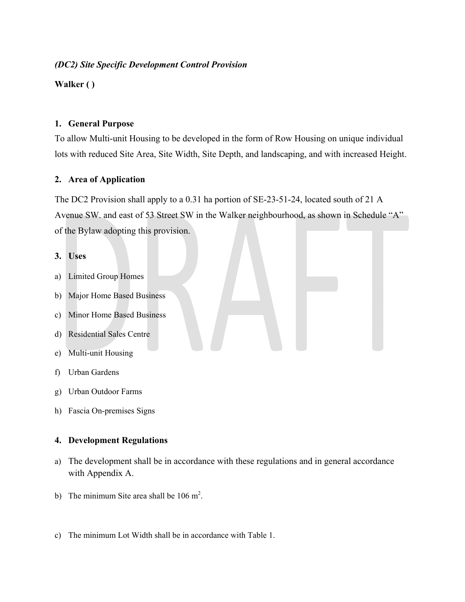## *(DC2) Site Specific Development Control Provision*

**Walker ( )** 

### **1. General Purpose**

To allow Multi-unit Housing to be developed in the form of Row Housing on unique individual lots with reduced Site Area, Site Width, Site Depth, and landscaping, and with increased Height.

# **2. Area of Application**

The DC2 Provision shall apply to a 0.31 ha portion of SE-23-51-24, located south of 21 A Avenue SW. and east of 53 Street SW in the Walker neighbourhood, as shown in Schedule "A" of the Bylaw adopting this provision.

#### **3. Uses**

- a) Limited Group Homes
- b) Major Home Based Business
- c) Minor Home Based Business
- d) Residential Sales Centre
- e) Multi-unit Housing
- f) Urban Gardens
- g) Urban Outdoor Farms
- h) Fascia On-premises Signs

#### **4. Development Regulations**

- a) The development shall be in accordance with these regulations and in general accordance with Appendix A.
- b) The minimum Site area shall be  $106 \text{ m}^2$ .
- c) The minimum Lot Width shall be in accordance with Table 1.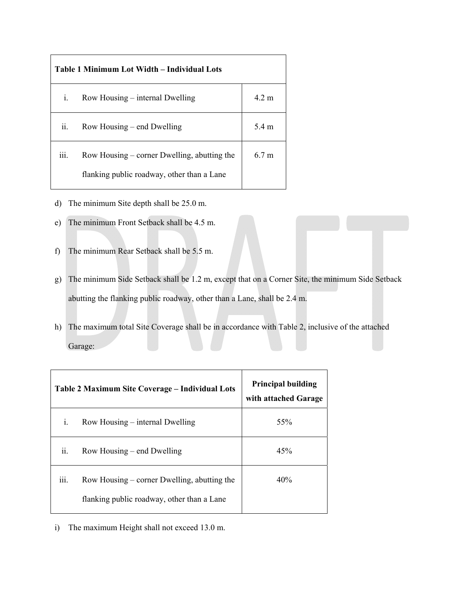| Table 1 Minimum Lot Width – Individual Lots |                                             |                  |  |
|---------------------------------------------|---------------------------------------------|------------------|--|
| $\mathbf{i}$ .                              | Row Housing $-$ internal Dwelling           | $4.2 \text{ m}$  |  |
| ii.                                         | Row Housing – end Dwelling                  | 5.4 m            |  |
| 111.                                        | Row Housing – corner Dwelling, abutting the | 6.7 <sub>m</sub> |  |
|                                             | flanking public roadway, other than a Lane  |                  |  |

- d) The minimum Site depth shall be 25.0 m.
- e) The minimum Front Setback shall be 4.5 m.
- f) The minimum Rear Setback shall be 5.5 m.
- g) The minimum Side Setback shall be 1.2 m, except that on a Corner Site, the minimum Side Setback abutting the flanking public roadway, other than a Lane, shall be 2.4 m.
- h) The maximum total Site Coverage shall be in accordance with Table 2, inclusive of the attached Garage:

| Table 2 Maximum Site Coverage - Individual Lots |                                                                                           | <b>Principal building</b><br>with attached Garage |
|-------------------------------------------------|-------------------------------------------------------------------------------------------|---------------------------------------------------|
| i.                                              | Row Housing – internal Dwelling                                                           | 55%                                               |
| ii.                                             | Row Housing – end Dwelling                                                                | 45%                                               |
| .<br>111.                                       | Row Housing – corner Dwelling, abutting the<br>flanking public roadway, other than a Lane | 40%                                               |

i) The maximum Height shall not exceed 13.0 m.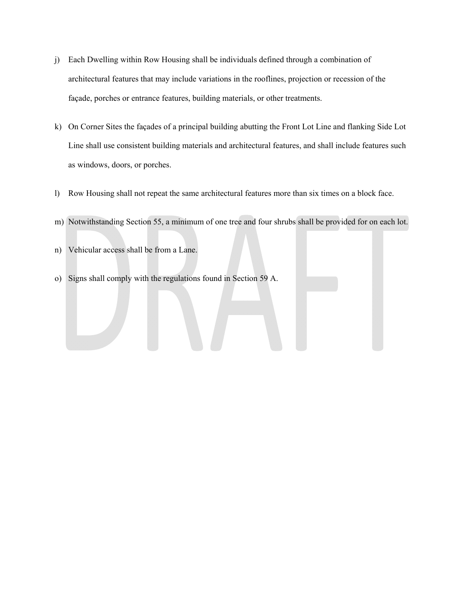- j) Each Dwelling within Row Housing shall be individuals defined through a combination of architectural features that may include variations in the rooflines, projection or recession of the façade, porches or entrance features, building materials, or other treatments.
- k) On Corner Sites the façades of a principal building abutting the Front Lot Line and flanking Side Lot Line shall use consistent building materials and architectural features, and shall include features such as windows, doors, or porches.
- l) Row Housing shall not repeat the same architectural features more than six times on a block face.
- m) Notwithstanding Section 55, a minimum of one tree and four shrubs shall be provided for on each lot.
- n) Vehicular access shall be from a Lane.
- o) Signs shall comply with the regulations found in Section 59 A.